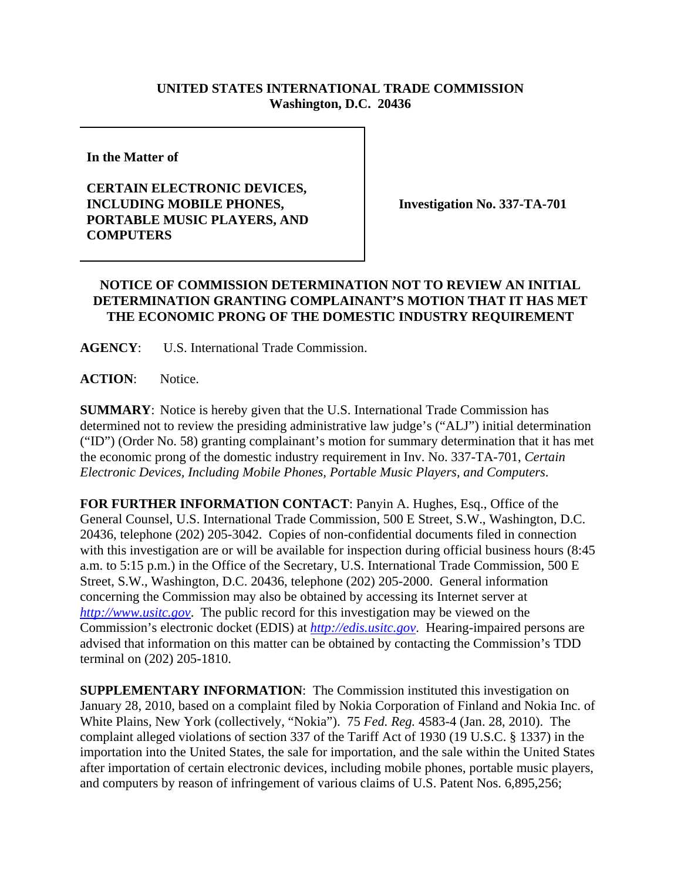## **UNITED STATES INTERNATIONAL TRADE COMMISSION Washington, D.C. 20436**

**In the Matter of** 

## **CERTAIN ELECTRONIC DEVICES, INCLUDING MOBILE PHONES, PORTABLE MUSIC PLAYERS, AND COMPUTERS**

**Investigation No. 337-TA-701**

## **NOTICE OF COMMISSION DETERMINATION NOT TO REVIEW AN INITIAL DETERMINATION GRANTING COMPLAINANT'S MOTION THAT IT HAS MET THE ECONOMIC PRONG OF THE DOMESTIC INDUSTRY REQUIREMENT**

**AGENCY**: U.S. International Trade Commission.

**ACTION**: Notice.

**SUMMARY**: Notice is hereby given that the U.S. International Trade Commission has determined not to review the presiding administrative law judge's ("ALJ") initial determination ("ID") (Order No. 58) granting complainant's motion for summary determination that it has met the economic prong of the domestic industry requirement in Inv. No. 337-TA-701, *Certain Electronic Devices, Including Mobile Phones, Portable Music Players, and Computers*.

**FOR FURTHER INFORMATION CONTACT**: Panyin A. Hughes, Esq., Office of the General Counsel, U.S. International Trade Commission, 500 E Street, S.W., Washington, D.C. 20436, telephone (202) 205-3042. Copies of non-confidential documents filed in connection with this investigation are or will be available for inspection during official business hours (8:45 a.m. to 5:15 p.m.) in the Office of the Secretary, U.S. International Trade Commission, 500 E Street, S.W., Washington, D.C. 20436, telephone (202) 205-2000. General information concerning the Commission may also be obtained by accessing its Internet server at *http://www.usitc.gov*. The public record for this investigation may be viewed on the Commission's electronic docket (EDIS) at *http://edis.usitc.gov*. Hearing-impaired persons are advised that information on this matter can be obtained by contacting the Commission's TDD terminal on (202) 205-1810.

**SUPPLEMENTARY INFORMATION**: The Commission instituted this investigation on January 28, 2010, based on a complaint filed by Nokia Corporation of Finland and Nokia Inc. of White Plains, New York (collectively, "Nokia"). 75 *Fed. Reg.* 4583-4 (Jan. 28, 2010). The complaint alleged violations of section 337 of the Tariff Act of 1930 (19 U.S.C. § 1337) in the importation into the United States, the sale for importation, and the sale within the United States after importation of certain electronic devices, including mobile phones, portable music players, and computers by reason of infringement of various claims of U.S. Patent Nos. 6,895,256;